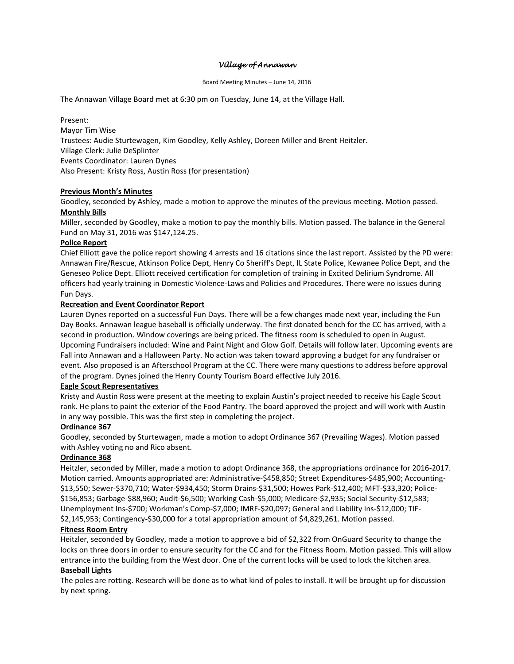## *Village of Annawan*

#### Board Meeting Minutes – June 14, 2016

The Annawan Village Board met at 6:30 pm on Tuesday, June 14, at the Village Hall.

Present: Mayor Tim Wise Trustees: Audie Sturtewagen, Kim Goodley, Kelly Ashley, Doreen Miller and Brent Heitzler. Village Clerk: Julie DeSplinter Events Coordinator: Lauren Dynes Also Present: Kristy Ross, Austin Ross (for presentation)

### **Previous Month's Minutes**

Goodley, seconded by Ashley, made a motion to approve the minutes of the previous meeting. Motion passed.

### **Monthly Bills**

Miller, seconded by Goodley, make a motion to pay the monthly bills. Motion passed. The balance in the General Fund on May 31, 2016 was \$147,124.25.

### **Police Report**

Chief Elliott gave the police report showing 4 arrests and 16 citations since the last report. Assisted by the PD were: Annawan Fire/Rescue, Atkinson Police Dept, Henry Co Sheriff's Dept, IL State Police, Kewanee Police Dept, and the Geneseo Police Dept. Elliott received certification for completion of training in Excited Delirium Syndrome. All officers had yearly training in Domestic Violence-Laws and Policies and Procedures. There were no issues during Fun Days.

### **Recreation and Event Coordinator Report**

Lauren Dynes reported on a successful Fun Days. There will be a few changes made next year, including the Fun Day Books. Annawan league baseball is officially underway. The first donated bench for the CC has arrived, with a second in production. Window coverings are being priced. The fitness room is scheduled to open in August. Upcoming Fundraisers included: Wine and Paint Night and Glow Golf. Details will follow later. Upcoming events are Fall into Annawan and a Halloween Party. No action was taken toward approving a budget for any fundraiser or event. Also proposed is an Afterschool Program at the CC. There were many questions to address before approval of the program. Dynes joined the Henry County Tourism Board effective July 2016.

## **Eagle Scout Representatives**

Kristy and Austin Ross were present at the meeting to explain Austin's project needed to receive his Eagle Scout rank. He plans to paint the exterior of the Food Pantry. The board approved the project and will work with Austin in any way possible. This was the first step in completing the project.

## **Ordinance 367**

Goodley, seconded by Sturtewagen, made a motion to adopt Ordinance 367 (Prevailing Wages). Motion passed with Ashley voting no and Rico absent.

#### **Ordinance 368**

Heitzler, seconded by Miller, made a motion to adopt Ordinance 368, the appropriations ordinance for 2016-2017. Motion carried. Amounts appropriated are: Administrative-\$458,850; Street Expenditures-\$485,900; Accounting- \$13,550; Sewer-\$370,710; Water-\$934,450; Storm Drains-\$31,500; Howes Park-\$12,400; MFT-\$33,320; Police- \$156,853; Garbage-\$88,960; Audit-\$6,500; Working Cash-\$5,000; Medicare-\$2,935; Social Security-\$12,583; Unemployment Ins-\$700; Workman's Comp-\$7,000; IMRF-\$20,097; General and Liability Ins-\$12,000; TIF- \$2,145,953; Contingency-\$30,000 for a total appropriation amount of \$4,829,261. Motion passed.

#### **Fitness Room Entry**

Heitzler, seconded by Goodley, made a motion to approve a bid of \$2,322 from OnGuard Security to change the locks on three doors in order to ensure security for the CC and for the Fitness Room. Motion passed. This will allow entrance into the building from the West door. One of the current locks will be used to lock the kitchen area. **Baseball Lights**

# The poles are rotting. Research will be done as to what kind of poles to install. It will be brought up for discussion by next spring.